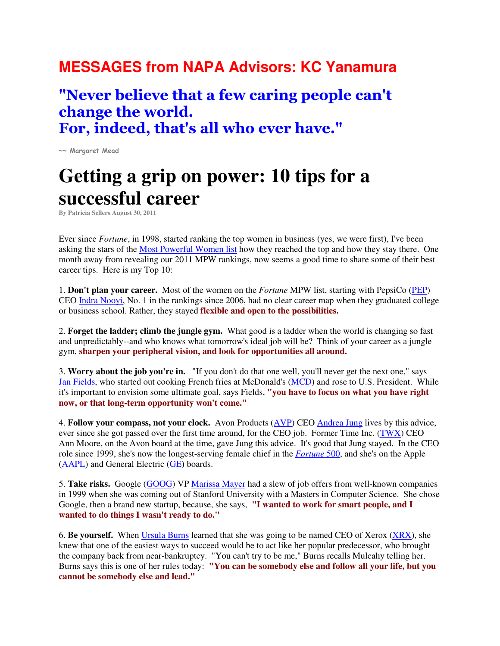## **MESSAGES from NAPA Advisors: KC Yanamura**

## "Never believe that a few caring people can't change the world. For, indeed, that's all who ever have."

~~ Margaret Mead

## **Getting a grip on power: 10 tips for a successful career**

**By Patricia Sellers August 30, 2011** 

Ever since *Fortune*, in 1998, started ranking the top women in business (yes, we were first), I've been asking the stars of the Most Powerful Women list how they reached the top and how they stay there. One month away from revealing our 2011 MPW rankings, now seems a good time to share some of their best career tips. Here is my Top 10:

1. **Don't plan your career.** Most of the women on the *Fortune* MPW list, starting with PepsiCo (PEP) CEO Indra Nooyi, No. 1 in the rankings since 2006, had no clear career map when they graduated college or business school. Rather, they stayed **flexible and open to the possibilities.** 

2. **Forget the ladder; climb the jungle gym.** What good is a ladder when the world is changing so fast and unpredictably--and who knows what tomorrow's ideal job will be? Think of your career as a jungle gym, **sharpen your peripheral vision, and look for opportunities all around.** 

3. **Worry about the job you're in.** "If you don't do that one well, you'll never get the next one," says Jan Fields, who started out cooking French fries at McDonald's (MCD) and rose to U.S. President. While it's important to envision some ultimate goal, says Fields, **"you have to focus on what you have right now, or that long-term opportunity won't come."** 

4. **Follow your compass, not your clock.** Avon Products (AVP) CEO Andrea Jung lives by this advice, ever since she got passed over the first time around, for the CEO job. Former Time Inc. (TWX) CEO Ann Moore, on the Avon board at the time, gave Jung this advice. It's good that Jung stayed. In the CEO role since 1999, she's now the longest-serving female chief in the *Fortune* 500, and she's on the Apple (AAPL) and General Electric (GE) boards.

5. **Take risks.** Google (GOOG) VP Marissa Mayer had a slew of job offers from well-known companies in 1999 when she was coming out of Stanford University with a Masters in Computer Science. She chose Google, then a brand new startup, because, she says, **"I wanted to work for smart people, and I wanted to do things I wasn't ready to do."** 

6. **Be yourself.** When Ursula Burns learned that she was going to be named CEO of Xerox (XRX), she knew that one of the easiest ways to succeed would be to act like her popular predecessor, who brought the company back from near-bankruptcy. "You can't try to be me," Burns recalls Mulcahy telling her. Burns says this is one of her rules today: **"You can be somebody else and follow all your life, but you cannot be somebody else and lead."**